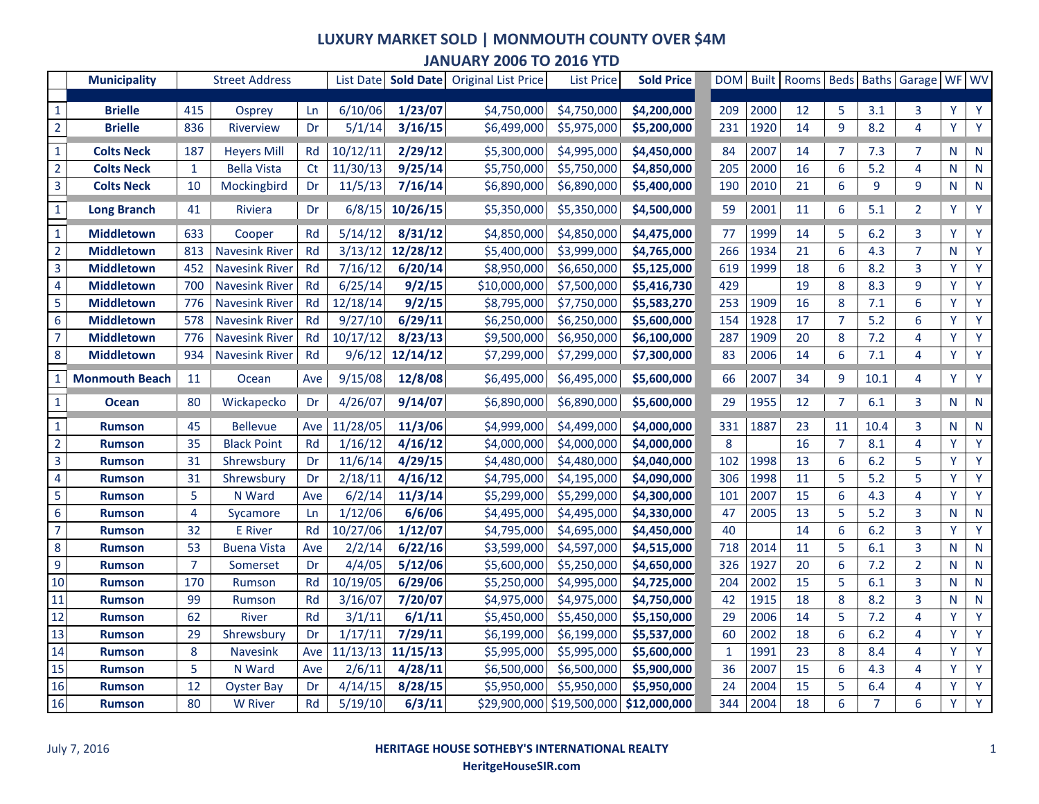## **LUXURY MARKET SOLD | MONMOUTH COUNTY OVER \$4M JANUARY 2006 TO 2016 YTD**

|                         | <b>Municipality</b>   | <b>Street Address</b> |                       |                |          | List Date   Sold Date | <b>Original List Price</b> | <b>List Price</b>         | <b>Sold Price</b> | <b>DOM</b>   |      | <b>Built Rooms</b> | <b>Beds</b>    | <b>Baths</b>   | Garage         | WF WV |              |
|-------------------------|-----------------------|-----------------------|-----------------------|----------------|----------|-----------------------|----------------------------|---------------------------|-------------------|--------------|------|--------------------|----------------|----------------|----------------|-------|--------------|
| $\mathbf{1}$            | <b>Brielle</b>        | 415                   | Osprey                | <b>Ln</b>      | 6/10/06  | 1/23/07               | \$4,750,000                | \$4,750,000               | \$4,200,000       | 209          | 2000 | 12                 | 5              | 3.1            | 3              | Υ     | Y            |
| $\overline{2}$          | <b>Brielle</b>        | 836                   | Riverview             | Dr             | 5/1/14   | 3/16/15               | \$6,499,000                | \$5,975,000               | \$5,200,000       | 231          | 1920 | 14                 | 9              | 8.2            | 4              | Y     | Y            |
|                         |                       |                       |                       |                |          |                       |                            |                           |                   |              |      |                    |                |                |                |       |              |
| $\mathbf 1$             | <b>Colts Neck</b>     | 187                   | <b>Heyers Mill</b>    | Rd             | 10/12/11 | 2/29/12               | \$5,300,000                | \$4,995,000               | \$4,450,000       | 84           | 2007 | 14                 | 7              | 7.3            | 7              | N     | N            |
| $\overline{2}$          | <b>Colts Neck</b>     | $\mathbf{1}$          | <b>Bella Vista</b>    | C <sub>t</sub> | 11/30/13 | 9/25/14               | \$5,750,000                | \$5,750,000               | \$4,850,000       | 205          | 2000 | 16                 | 6              | 5.2            | $\overline{4}$ | N     | $\mathsf{N}$ |
| $\overline{3}$          | <b>Colts Neck</b>     | 10                    | Mockingbird           | Dr             | 11/5/13  | 7/16/14               | \$6,890,000                | \$6,890,000               | \$5,400,000       | 190          | 2010 | 21                 | 6              | 9              | 9              | N     | $\mathsf{N}$ |
| $\mathbf 1$             | <b>Long Branch</b>    | 41                    | <b>Riviera</b>        | Dr             | 6/8/15   | 10/26/15              | \$5,350,000                | \$5,350,000               | \$4,500,000       | 59           | 2001 | 11                 | 6              | 5.1            | $\overline{2}$ | Y     | Y            |
| $\mathbf 1$             | <b>Middletown</b>     | 633                   | Cooper                | Rd             | 5/14/12  | 8/31/12               | \$4,850,000                | \$4,850,000               | \$4,475,000       | 77           | 1999 | 14                 | 5              | 6.2            | 3              | Υ     | Y            |
| $\overline{2}$          | <b>Middletown</b>     | 813                   | <b>Navesink River</b> | Rd             | 3/13/12  | 12/28/12              | \$5,400,000                | \$3,999,000               | \$4,765,000       | 266          | 1934 | 21                 | 6              | 4.3            | $\overline{7}$ | N     | Y            |
| $\overline{\mathbf{3}}$ | <b>Middletown</b>     | 452                   | <b>Navesink River</b> | Rd             | 7/16/12  | 6/20/14               | \$8,950,000                | \$6,650,000               | \$5,125,000       | 619          | 1999 | 18                 | 6              | 8.2            | 3              | Y     | Y            |
| $\overline{4}$          | <b>Middletown</b>     | 700                   | <b>Navesink River</b> | Rd             | 6/25/14  | 9/2/15                | \$10,000,000               | \$7,500,000               | \$5,416,730       | 429          |      | 19                 | 8              | 8.3            | 9              | Y     | Y            |
| 5                       | <b>Middletown</b>     | 776                   | <b>Navesink River</b> | Rd             | 12/18/14 | 9/2/15                | \$8,795,000                | \$7,750,000               | \$5,583,270       | 253          | 1909 | 16                 | 8              | 7.1            | 6              | Y     | Y            |
| $6\phantom{a}$          | <b>Middletown</b>     | 578                   | <b>Navesink River</b> | Rd             | 9/27/10  | 6/29/11               | \$6,250,000                | \$6,250,000               | \$5,600,000       | 154          | 1928 | 17                 | $\overline{7}$ | 5.2            | 6              | Υ     | Y            |
| $\overline{7}$          | <b>Middletown</b>     | 776                   | <b>Navesink River</b> | Rd             | 10/17/12 | 8/23/13               | \$9,500,000                | \$6,950,000               | \$6,100,000       | 287          | 1909 | 20                 | 8              | 7.2            | 4              | Y     | Y            |
| $\bf 8$                 | <b>Middletown</b>     | 934                   | <b>Navesink River</b> | <b>Rd</b>      | 9/6/12   | 12/14/12              | \$7,299,000                | \$7,299,000               | \$7,300,000       | 83           | 2006 | 14                 | 6              | 7.1            | 4              | Y     | Y            |
| $\mathbf 1$             | <b>Monmouth Beach</b> | 11                    | Ocean                 | Ave            | 9/15/08  | 12/8/08               | \$6,495,000                | \$6,495,000               | \$5,600,000       | 66           | 2007 | 34                 | 9              | 10.1           | 4              | Y     | Y            |
| $\mathbf 1$             | <b>Ocean</b>          | 80                    | Wickapecko            | Dr             | 4/26/07  | 9/14/07               | \$6,890,000                | \$6,890,000               | \$5,600,000       | 29           | 1955 | 12                 | 7              | 6.1            | 3              | N     | N            |
| $\mathbf{1}$            | <b>Rumson</b>         | 45                    | <b>Bellevue</b>       | Ave            | 11/28/05 | 11/3/06               | \$4,999,000                | \$4,499,000               | \$4,000,000       | 331          | 1887 | 23                 | 11             | 10.4           | 3              | N     | N            |
| $\overline{2}$          | <b>Rumson</b>         | 35                    | <b>Black Point</b>    | Rd             | 1/16/12  | 4/16/12               | \$4,000,000                | \$4,000,000               | \$4,000,000       | 8            |      | 16                 | $\overline{7}$ | 8.1            | 4              | Y     | Y            |
| $\overline{3}$          | <b>Rumson</b>         | 31                    | Shrewsbury            | Dr             | 11/6/14  | 4/29/15               | \$4,480,000                | \$4,480,000               | \$4,040,000       | 102          | 1998 | 13                 | 6              | 6.2            | 5              | Y     | Y            |
| $\overline{4}$          | <b>Rumson</b>         | 31                    | Shrewsbury            | Dr             | 2/18/11  | 4/16/12               | \$4,795,000                | \$4,195,000               | \$4,090,000       | 306          | 1998 | 11                 | 5              | 5.2            | 5              | Y     | Y            |
| 5                       | <b>Rumson</b>         | 5                     | N Ward                | Ave            | 6/2/14   | 11/3/14               | \$5,299,000                | \$5,299,000               | \$4,300,000       | 101          | 2007 | 15                 | 6              | 4.3            | 4              | Y     | Y            |
| $6\phantom{a}$          | <b>Rumson</b>         | $\overline{4}$        | Sycamore              | <b>Ln</b>      | 1/12/06  | 6/6/06                | \$4,495,000                | \$4,495,000               | \$4,330,000       | 47           | 2005 | 13                 | 5              | 5.2            | 3              | N     | $\mathsf{N}$ |
| $\overline{7}$          | <b>Rumson</b>         | 32                    | <b>E</b> River        | Rd             | 10/27/06 | 1/12/07               | \$4,795,000                | \$4,695,000               | \$4,450,000       | 40           |      | 14                 | 6              | 6.2            | 3              | Y     | Y            |
| $\bf 8$                 | <b>Rumson</b>         | 53                    | <b>Buena Vista</b>    | Ave            | 2/2/14   | 6/22/16               | \$3,599,000                | \$4,597,000               | \$4,515,000       | 718          | 2014 | 11                 | 5              | 6.1            | 3              | N     | $\mathsf{N}$ |
| 9                       | <b>Rumson</b>         | $\overline{7}$        | Somerset              | Dr             | 4/4/05   | 5/12/06               | \$5,600,000                | \$5,250,000               | \$4,650,000       | 326          | 1927 | 20                 | 6              | 7.2            | $\overline{2}$ | N     | $\mathsf{N}$ |
| 10                      | <b>Rumson</b>         | 170                   | Rumson                | Rd             | 10/19/05 | 6/29/06               | \$5,250,000                | \$4,995,000               | \$4,725,000       | 204          | 2002 | 15                 | 5              | 6.1            | 3              | N     | $\mathsf{N}$ |
| 11                      | <b>Rumson</b>         | 99                    | Rumson                | Rd             | 3/16/07  | 7/20/07               | \$4,975,000                | \$4,975,000               | \$4,750,000       | 42           | 1915 | 18                 | 8              | 8.2            | 3              | N     | $\mathsf{N}$ |
| 12                      | <b>Rumson</b>         | 62                    | River                 | Rd             | 3/1/11   | 6/1/11                | \$5,450,000                | \$5,450,000               | \$5,150,000       | 29           | 2006 | 14                 | 5              | 7.2            | 4              | Y     | Y            |
| 13                      | <b>Rumson</b>         | 29                    | Shrewsbury            | Dr             | 1/17/11  | 7/29/11               | \$6,199,000                | \$6,199,000               | \$5,537,000       | 60           | 2002 | 18                 | 6              | 6.2            | 4              | Y     | Y            |
| 14                      | <b>Rumson</b>         | 8                     | <b>Navesink</b>       | Ave            | 11/13/13 | 11/15/13              | \$5,995,000                | \$5,995,000               | \$5,600,000       | $\mathbf{1}$ | 1991 | 23                 | 8              | 8.4            | 4              | Y     | Y            |
| 15                      | <b>Rumson</b>         | 5                     | N Ward                | Ave            | 2/6/11   | 4/28/11               | \$6,500,000                | \$6,500,000               | \$5,900,000       | 36           | 2007 | 15                 | 6              | 4.3            | 4              | Y     | Y            |
| 16                      | <b>Rumson</b>         | 12                    | <b>Oyster Bay</b>     | Dr             | 4/14/15  | 8/28/15               | \$5,950,000                | \$5,950,000               | \$5,950,000       | 24           | 2004 | 15                 | 5              | 6.4            | 4              | Y     | Y            |
| 16                      | <b>Rumson</b>         | 80                    | <b>W</b> River        | Rd             | 5/19/10  | 6/3/11                |                            | \$29,900,000 \$19,500,000 | \$12,000,000      | 344          | 2004 | 18                 | 6              | $\overline{7}$ | 6              | Y     | Y            |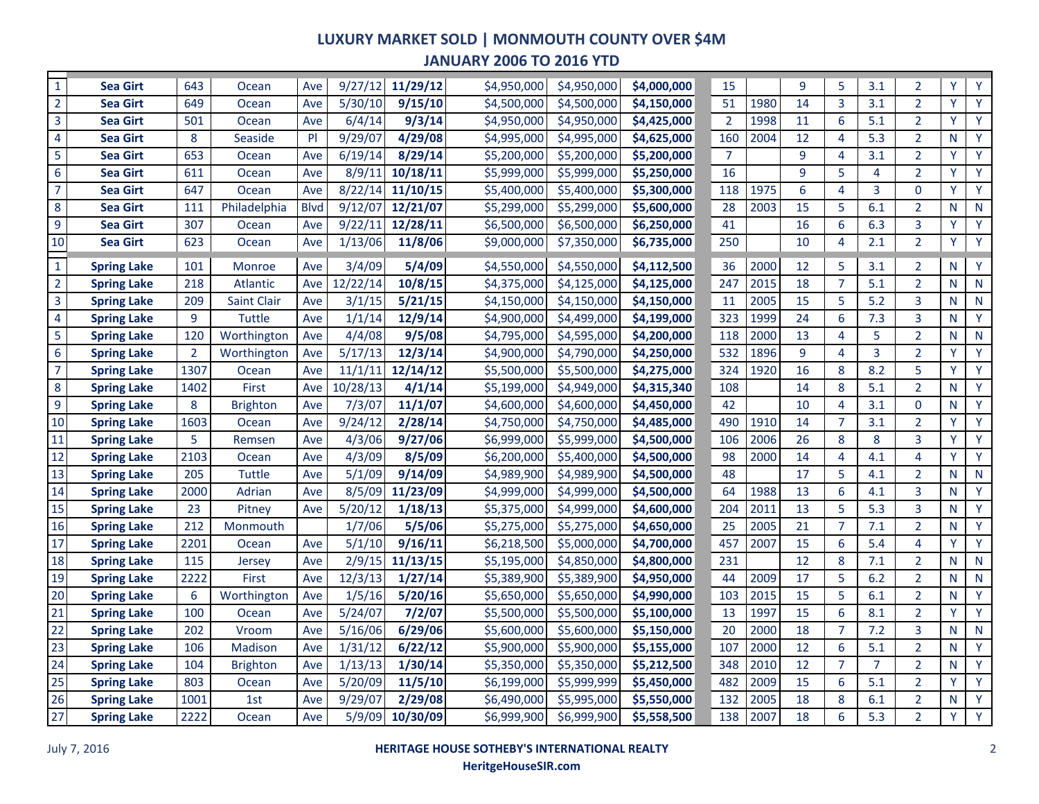## **LUXURY MARKET SOLD | MONMOUTH COUNTY OVER \$4M JANUARY 2006 TO 2016 YTD**

| $\mathbf{1}$                                        | <b>Sea Girt</b>    | 643            | Ocean              | Ave         | 9/27/12  | 11/29/12 | \$4,950,000 | \$4,950,000 | \$4,000,000 | 15             |      | 9  | 5              | 3.1            | $\overline{2}$ | Y | Y            |
|-----------------------------------------------------|--------------------|----------------|--------------------|-------------|----------|----------|-------------|-------------|-------------|----------------|------|----|----------------|----------------|----------------|---|--------------|
| $\overline{2}$                                      | <b>Sea Girt</b>    | 649            | Ocean              | Ave         | 5/30/10  | 9/15/10  | \$4,500,000 | \$4,500,000 | \$4,150,000 | 51             | 1980 | 14 | 3              | 3.1            | $\overline{2}$ | Y | Y            |
| $\overline{3}$                                      | <b>Sea Girt</b>    | 501            | Ocean              | Ave         | 6/4/14   | 9/3/14   | \$4,950,000 | \$4,950,000 | \$4,425,000 | $\overline{2}$ | 1998 | 11 | 6              | 5.1            | $\overline{2}$ | Y | Y            |
| 4                                                   | <b>Sea Girt</b>    | 8              | Seaside            | PI          | 9/29/07  | 4/29/08  | \$4,995,000 | \$4,995,000 | \$4,625,000 | 160            | 2004 | 12 | 4              | 5.3            | $\overline{2}$ | N | Y            |
| 5                                                   | <b>Sea Girt</b>    | 653            | Ocean              | Ave         | 6/19/14  | 8/29/14  | \$5,200,000 | \$5,200,000 | \$5,200,000 | $\overline{7}$ |      | 9  | $\overline{4}$ | 3.1            | $\overline{2}$ | Y | Y            |
| 6                                                   | <b>Sea Girt</b>    | 611            | Ocean              | Ave         | 8/9/11   | 10/18/11 | \$5,999,000 | \$5,999,000 | \$5,250,000 | 16             |      | 9  | 5              | $\overline{4}$ | $\overline{2}$ | Y | Y            |
| $\overline{7}$                                      | <b>Sea Girt</b>    | 647            | Ocean              | Ave         | 8/22/14  | 11/10/15 | \$5,400,000 | \$5,400,000 | \$5,300,000 | 118            | 1975 | 6  | $\overline{4}$ | 3              | $\mathbf{0}$   | Y | Y            |
| 8                                                   | <b>Sea Girt</b>    | 111            | Philadelphia       | <b>Blvd</b> | 9/12/07  | 12/21/07 | \$5,299,000 | \$5,299,000 | \$5,600,000 | 28             | 2003 | 15 | 5              | 6.1            | $\overline{2}$ | N | $\mathsf{N}$ |
| $\overline{9}$                                      | <b>Sea Girt</b>    | 307            | Ocean              | Ave         | 9/22/11  | 12/28/11 | \$6,500,000 | \$6,500,000 | \$6,250,000 | 41             |      | 16 | 6              | 6.3            | 3              | Ÿ | Y            |
| 10                                                  | <b>Sea Girt</b>    | 623            | Ocean              | Ave         | 1/13/06  | 11/8/06  | \$9,000,000 | \$7,350,000 | \$6,735,000 | 250            |      | 10 | 4              | 2.1            | $\overline{2}$ | Y | Y            |
| $\mathbf{1}$                                        | <b>Spring Lake</b> | 101            | <b>Monroe</b>      | Ave         | 3/4/09   | 5/4/09   | \$4,550,000 | \$4,550,000 | \$4,112,500 | 36             | 2000 | 12 | 5              | 3.1            | $\overline{2}$ | N | Y            |
| $\overline{2}$                                      | <b>Spring Lake</b> | 218            | <b>Atlantic</b>    | Ave         | 12/22/14 | 10/8/15  | \$4,375,000 | \$4,125,000 | \$4,125,000 | 247            | 2015 | 18 | $\overline{7}$ | 5.1            | $\overline{2}$ | N | $\mathsf{N}$ |
| $\overline{3}$                                      | <b>Spring Lake</b> | 209            | <b>Saint Clair</b> | Ave         | 3/1/15   | 5/21/15  | \$4,150,000 | \$4,150,000 | \$4,150,000 | 11             | 2005 | 15 | 5              | 5.2            | 3              | N | N            |
| $\overline{4}$                                      | <b>Spring Lake</b> | 9              | <b>Tuttle</b>      | Ave         | 1/1/14   | 12/9/14  | \$4,900,000 | \$4,499,000 | \$4,199,000 | 323            | 1999 | 24 | 6              | 7.3            | 3              | N | Y            |
| $5\phantom{a}$                                      | <b>Spring Lake</b> | 120            | Worthington        | Ave         | 4/4/08   | 9/5/08   | \$4,795,000 | \$4,595,000 | \$4,200,000 | 118            | 2000 | 13 | $\overline{4}$ | 5              | $\overline{2}$ | N | N            |
| $6\overline{6}$                                     | <b>Spring Lake</b> | $\overline{2}$ | Worthington        | Ave         | 5/17/13  | 12/3/14  | \$4,900,000 | \$4,790,000 | \$4,250,000 | 532            | 1896 | 9  | 4              | 3              | $\overline{2}$ | Y | Y            |
| $\overline{7}$                                      | <b>Spring Lake</b> | 1307           | Ocean              | Ave         | 11/1/11  | 12/14/12 | \$5,500,000 | \$5,500,000 | \$4,275,000 | 324            | 1920 | 16 | 8              | 8.2            | 5              | Y | Y            |
| 8                                                   | <b>Spring Lake</b> | 1402           | First              | Ave         | 10/28/13 | 4/1/14   | \$5,199,000 | \$4,949,000 | \$4,315,340 | 108            |      | 14 | 8              | 5.1            | $\overline{2}$ | N | Y            |
| $\overline{9}$                                      | <b>Spring Lake</b> | 8              | <b>Brighton</b>    | Ave         | 7/3/07   | 11/1/07  | \$4,600,000 | \$4,600,000 | \$4,450,000 | 42             |      | 10 | 4              | 3.1            | $\mathbf{0}$   | N | Y            |
| 10                                                  | <b>Spring Lake</b> | 1603           | Ocean              | Ave         | 9/24/12  | 2/28/14  | \$4,750,000 | \$4,750,000 | \$4,485,000 | 490            | 1910 | 14 | $\overline{7}$ | 3.1            | $\overline{2}$ | Y | Y            |
| 11                                                  | <b>Spring Lake</b> | 5              | Remsen             | Ave         | 4/3/06   | 9/27/06  | \$6,999,000 | \$5,999,000 | \$4,500,000 | 106            | 2006 | 26 | 8              | 8              | 3              | Y | Y            |
| 12                                                  | <b>Spring Lake</b> | 2103           | Ocean              | Ave         | 4/3/09   | 8/5/09   | \$6,200,000 | \$5,400,000 | \$4,500,000 | 98             | 2000 | 14 | 4              | 4.1            | $\overline{4}$ | Y | Y            |
| 13                                                  | <b>Spring Lake</b> | 205            | Tuttle             | Ave         | 5/1/09   | 9/14/09  | \$4,989,900 | \$4,989,900 | \$4,500,000 | 48             |      | 17 | 5              | 4.1            | $\overline{2}$ | N | N            |
| 14                                                  | <b>Spring Lake</b> | 2000           | Adrian             | Ave         | 8/5/09   | 11/23/09 | \$4,999,000 | \$4,999,000 | \$4,500,000 | 64             | 1988 | 13 | 6              | 4.1            | $\overline{3}$ | N | Y            |
| 15                                                  | <b>Spring Lake</b> | 23             | Pitney             | Ave         | 5/20/12  | 1/18/13  | \$5,375,000 | \$4,999,000 | \$4,600,000 | 204            | 2011 | 13 | 5              | 5.3            | 3              | N | Y            |
| 16                                                  | <b>Spring Lake</b> | 212            | Monmouth           |             | 1/7/06   | 5/5/06   | \$5,275,000 | \$5,275,000 | \$4,650,000 | 25             | 2005 | 21 | $\overline{7}$ | 7.1            | $\overline{2}$ | N | Y            |
| 17                                                  | <b>Spring Lake</b> | 2201           | Ocean              | Ave         | 5/1/10   | 9/16/11  | \$6,218,500 | \$5,000,000 | \$4,700,000 | 457            | 2007 | 15 | 6              | 5.4            | 4              | Y | Y            |
| 18                                                  | <b>Spring Lake</b> | 115            | Jersey             | Ave         | 2/9/15   | 11/13/15 | \$5,195,000 | \$4,850,000 | \$4,800,000 | 231            |      | 12 | 8              | 7.1            | $\overline{2}$ | N | N            |
| 19                                                  | <b>Spring Lake</b> | 2222           | First              | Ave         | 12/3/13  | 1/27/14  | \$5,389,900 | \$5,389,900 | \$4,950,000 | 44             | 2009 | 17 | 5              | 6.2            | $\overline{2}$ | N | N            |
| $\overline{20}$                                     | <b>Spring Lake</b> | 6              | Worthington        | Ave         | 1/5/16   | 5/20/16  | \$5,650,000 | \$5,650,000 | \$4,990,000 | 103            | 2015 | 15 | 5              | 6.1            | $\overline{2}$ | N | Y            |
|                                                     | <b>Spring Lake</b> | 100            | Ocean              | Ave         | 5/24/07  | 7/2/07   | \$5,500,000 | \$5,500,000 | \$5,100,000 | 13             | 1997 | 15 | 6              | 8.1            | $\overline{2}$ | Y | Y            |
| $\begin{array}{r} 21 \\ 22 \\ 23 \\ 24 \end{array}$ | <b>Spring Lake</b> | 202            | Vroom              | Ave         | 5/16/06  | 6/29/06  | \$5,600,000 | \$5,600,000 | \$5,150,000 | 20             | 2000 | 18 | $\overline{7}$ | 7.2            | 3              | N | N            |
|                                                     | <b>Spring Lake</b> | 106            | Madison            | Ave         | 1/31/12  | 6/22/12  | \$5,900,000 | \$5,900,000 | \$5,155,000 | 107            | 2000 | 12 | 6              | 5.1            | $\overline{2}$ | N | Y            |
|                                                     | <b>Spring Lake</b> | 104            | <b>Brighton</b>    | Ave         | 1/13/13  | 1/30/14  | \$5,350,000 | \$5,350,000 | \$5,212,500 | 348            | 2010 | 12 | $\overline{7}$ | $\overline{7}$ | $\overline{2}$ | N | Y            |
| 25                                                  | <b>Spring Lake</b> | 803            | Ocean              | Ave         | 5/20/09  | 11/5/10  | \$6,199,000 | \$5,999,999 | \$5,450,000 | 482            | 2009 | 15 | 6              | 5.1            | $\overline{2}$ | Y | Y            |
| $\frac{26}{27}$                                     | <b>Spring Lake</b> | 1001           | 1st                | Ave         | 9/29/07  | 2/29/08  | \$6,490,000 | \$5,995,000 | \$5,550,000 | 132            | 2005 | 18 | 8              | 6.1            | $\overline{2}$ | N | Y            |
|                                                     | <b>Spring Lake</b> | 2222           | Ocean              | Ave         | 5/9/09   | 10/30/09 | \$6,999,900 | \$6,999,900 | \$5,558,500 | 138            | 2007 | 18 | 6              | 5.3            | $\overline{2}$ | Y | Y            |